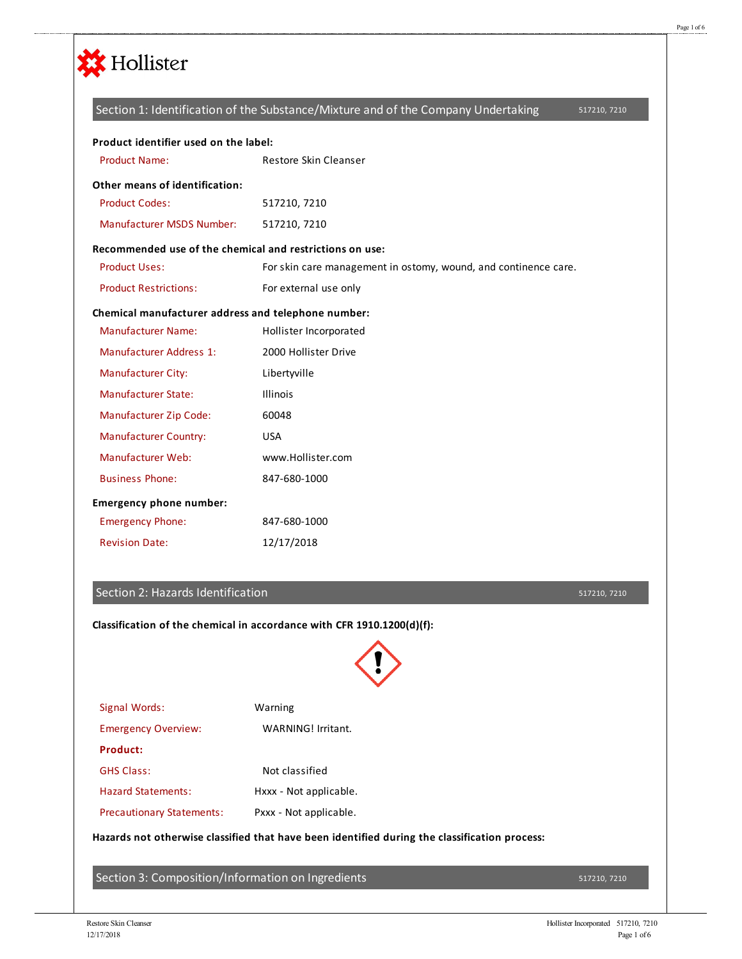

## Section 2: Hazards Identification

|                                                                                               | Classification of the chemical in accordance with CFR 1910.1200(d)(f): |  |  |  |
|-----------------------------------------------------------------------------------------------|------------------------------------------------------------------------|--|--|--|
| Signal Words:                                                                                 | Warning                                                                |  |  |  |
| <b>Emergency Overview:</b>                                                                    | WARNING! Irritant.                                                     |  |  |  |
| <b>Product:</b>                                                                               |                                                                        |  |  |  |
| <b>GHS Class:</b>                                                                             | Not classified                                                         |  |  |  |
| <b>Hazard Statements:</b>                                                                     | Hxxx - Not applicable.                                                 |  |  |  |
| <b>Precautionary Statements:</b>                                                              | Pxxx - Not applicable.                                                 |  |  |  |
| Hazards not otherwise classified that have been identified during the classification process: |                                                                        |  |  |  |
| Section 3: Composition/Information on Ingredients                                             |                                                                        |  |  |  |
|                                                                                               |                                                                        |  |  |  |

517210, 7210

517210, 7210

Page 1 of 6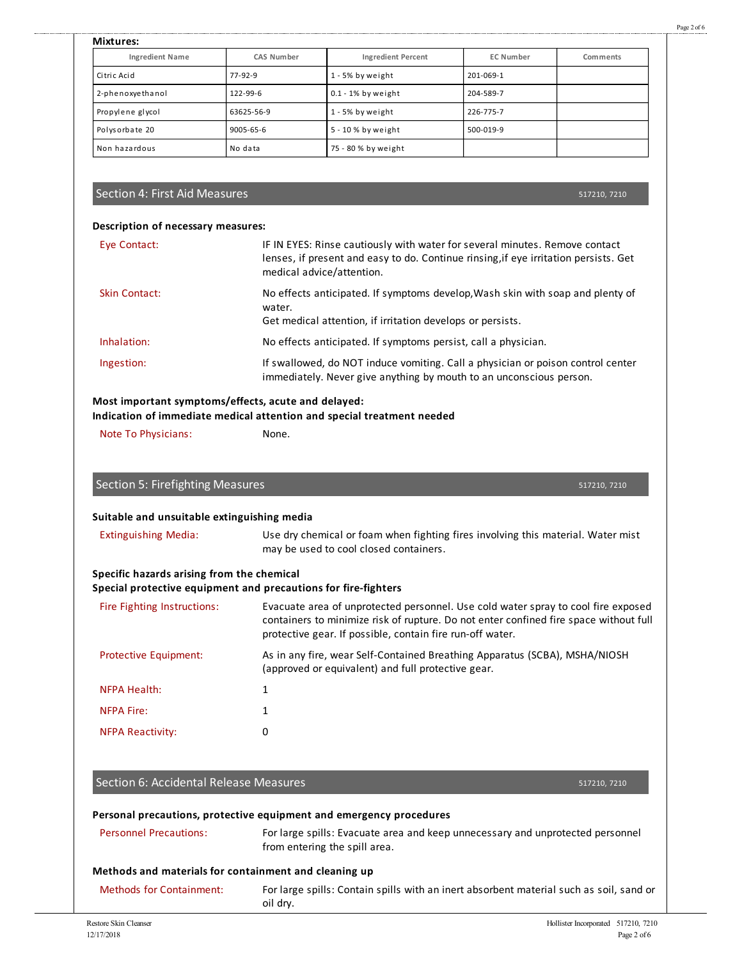| <b>Mixtures:</b>       |            |                           |                  |          |  |  |
|------------------------|------------|---------------------------|------------------|----------|--|--|
| <b>Ingredient Name</b> | CAS Number | <b>Ingredient Percent</b> | <b>EC Number</b> | Comments |  |  |
| Citric Acid            | 77-92-9    | 1 - 5% by weight          | 201-069-1        |          |  |  |
| 2-phenoxyethanol       | 122-99-6   | $0.1 - 1\%$ by weight     | 204-589-7        |          |  |  |
| Propylene glycol       | 63625-56-9 | 1 - 5% by weight          | 226-775-7        |          |  |  |
| Polysorbate 20         | 9005-65-6  | 5 - 10 % by weight        | 500-019-9        |          |  |  |
| Non hazardous          | No data    | 75 - 80 % by weight       |                  |          |  |  |

# Section 4: First Aid Measures

517210, 7210

| Description of necessary measures: |                                                                                                                                                                                                  |  |  |  |
|------------------------------------|--------------------------------------------------------------------------------------------------------------------------------------------------------------------------------------------------|--|--|--|
| Eye Contact:                       | IF IN EYES: Rinse cautiously with water for several minutes. Remove contact<br>lenses, if present and easy to do. Continue rinsing, if eye irritation persists. Get<br>medical advice/attention. |  |  |  |
| Skin Contact:                      | No effects anticipated. If symptoms develop, Wash skin with soap and plenty of<br>water.<br>Get medical attention, if irritation develops or persists.                                           |  |  |  |
| Inhalation:                        | No effects anticipated. If symptoms persist, call a physician.                                                                                                                                   |  |  |  |
| Ingestion:                         | If swallowed, do NOT induce vomiting. Call a physician or poison control center<br>immediately. Never give anything by mouth to an unconscious person.                                           |  |  |  |

# **Most important symptoms/effects, acute and delayed:**

**Indication of immediate medical attention and special treatment needed**

Note To Physicians: None.

| Section 5: Firefighting Measures |
|----------------------------------|
|----------------------------------|

#### **Suitable and unsuitable extinguishing media**

Extinguishing Media: Use dry chemical or foam when fighting fires involving this material. Water mist may be used to cool closed containers.

### **Specific hazards arising from the chemical**

#### **Special protective equipment and precautions for fire-fighters**

| Fire Fighting Instructions:  | Evacuate area of unprotected personnel. Use cold water spray to cool fire exposed<br>containers to minimize risk of rupture. Do not enter confined fire space without full<br>protective gear. If possible, contain fire run-off water. |
|------------------------------|-----------------------------------------------------------------------------------------------------------------------------------------------------------------------------------------------------------------------------------------|
| <b>Protective Equipment:</b> | As in any fire, wear Self-Contained Breathing Apparatus (SCBA), MSHA/NIOSH<br>(approved or equivalent) and full protective gear.                                                                                                        |
| <b>NFPA Health:</b>          |                                                                                                                                                                                                                                         |
| <b>NFPA Fire:</b>            |                                                                                                                                                                                                                                         |
| <b>NFPA Reactivity:</b>      | 0                                                                                                                                                                                                                                       |

# Section 6: Accidental Release Measures

517210, 7210

517210, 7210

|                                                       | Personal precautions, protective equipment and emergency procedures                                             |
|-------------------------------------------------------|-----------------------------------------------------------------------------------------------------------------|
| <b>Personnel Precautions:</b>                         | For large spills: Evacuate area and keep unnecessary and unprotected personnel<br>from entering the spill area. |
| Methods and materials for containment and cleaning up |                                                                                                                 |
| <b>Methods for Containment:</b>                       | For large spills: Contain spills with an inert absorbent material such as soil, sand or<br>oil dry.             |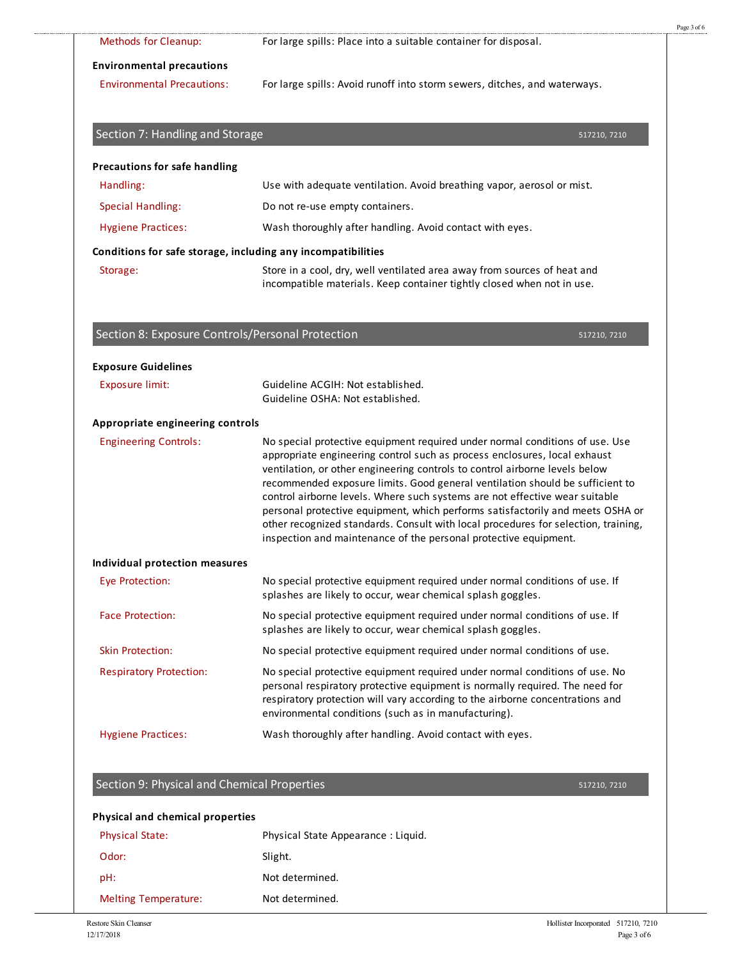| Methods for Cleanup:                                         | For large spills: Place into a suitable container for disposal.                                                                                                                                                                                                                                                                                                                                                                                                                                                                                                                                                                                      |
|--------------------------------------------------------------|------------------------------------------------------------------------------------------------------------------------------------------------------------------------------------------------------------------------------------------------------------------------------------------------------------------------------------------------------------------------------------------------------------------------------------------------------------------------------------------------------------------------------------------------------------------------------------------------------------------------------------------------------|
| <b>Environmental precautions</b>                             |                                                                                                                                                                                                                                                                                                                                                                                                                                                                                                                                                                                                                                                      |
| <b>Environmental Precautions:</b>                            | For large spills: Avoid runoff into storm sewers, ditches, and waterways.                                                                                                                                                                                                                                                                                                                                                                                                                                                                                                                                                                            |
| Section 7: Handling and Storage                              | 517210, 7210                                                                                                                                                                                                                                                                                                                                                                                                                                                                                                                                                                                                                                         |
| <b>Precautions for safe handling</b>                         |                                                                                                                                                                                                                                                                                                                                                                                                                                                                                                                                                                                                                                                      |
| Handling:                                                    | Use with adequate ventilation. Avoid breathing vapor, aerosol or mist.                                                                                                                                                                                                                                                                                                                                                                                                                                                                                                                                                                               |
| <b>Special Handling:</b>                                     | Do not re-use empty containers.                                                                                                                                                                                                                                                                                                                                                                                                                                                                                                                                                                                                                      |
| <b>Hygiene Practices:</b>                                    | Wash thoroughly after handling. Avoid contact with eyes.                                                                                                                                                                                                                                                                                                                                                                                                                                                                                                                                                                                             |
| Conditions for safe storage, including any incompatibilities |                                                                                                                                                                                                                                                                                                                                                                                                                                                                                                                                                                                                                                                      |
| Storage:                                                     | Store in a cool, dry, well ventilated area away from sources of heat and<br>incompatible materials. Keep container tightly closed when not in use.                                                                                                                                                                                                                                                                                                                                                                                                                                                                                                   |
| Section 8: Exposure Controls/Personal Protection             | 517210, 7210                                                                                                                                                                                                                                                                                                                                                                                                                                                                                                                                                                                                                                         |
| <b>Exposure Guidelines</b>                                   |                                                                                                                                                                                                                                                                                                                                                                                                                                                                                                                                                                                                                                                      |
| <b>Exposure limit:</b>                                       | Guideline ACGIH: Not established.<br>Guideline OSHA: Not established.                                                                                                                                                                                                                                                                                                                                                                                                                                                                                                                                                                                |
| Appropriate engineering controls                             |                                                                                                                                                                                                                                                                                                                                                                                                                                                                                                                                                                                                                                                      |
| <b>Engineering Controls:</b>                                 | No special protective equipment required under normal conditions of use. Use<br>appropriate engineering control such as process enclosures, local exhaust<br>ventilation, or other engineering controls to control airborne levels below<br>recommended exposure limits. Good general ventilation should be sufficient to<br>control airborne levels. Where such systems are not effective wear suitable<br>personal protective equipment, which performs satisfactorily and meets OSHA or<br>other recognized standards. Consult with local procedures for selection, training,<br>inspection and maintenance of the personal protective equipment. |
| Individual protection measures                               |                                                                                                                                                                                                                                                                                                                                                                                                                                                                                                                                                                                                                                                      |
| <b>Eye Protection:</b>                                       | No special protective equipment required under normal conditions of use. If<br>splashes are likely to occur, wear chemical splash goggles.                                                                                                                                                                                                                                                                                                                                                                                                                                                                                                           |
| <b>Face Protection:</b>                                      | No special protective equipment required under normal conditions of use. If<br>splashes are likely to occur, wear chemical splash goggles.                                                                                                                                                                                                                                                                                                                                                                                                                                                                                                           |
| <b>Skin Protection:</b>                                      | No special protective equipment required under normal conditions of use.                                                                                                                                                                                                                                                                                                                                                                                                                                                                                                                                                                             |
| <b>Respiratory Protection:</b>                               | No special protective equipment required under normal conditions of use. No<br>personal respiratory protective equipment is normally required. The need for<br>respiratory protection will vary according to the airborne concentrations and<br>environmental conditions (such as in manufacturing).                                                                                                                                                                                                                                                                                                                                                 |
| <b>Hygiene Practices:</b>                                    | Wash thoroughly after handling. Avoid contact with eyes.                                                                                                                                                                                                                                                                                                                                                                                                                                                                                                                                                                                             |
| Section 9: Physical and Chemical Properties                  | 517210, 7210                                                                                                                                                                                                                                                                                                                                                                                                                                                                                                                                                                                                                                         |
| <b>Physical and chemical properties</b>                      |                                                                                                                                                                                                                                                                                                                                                                                                                                                                                                                                                                                                                                                      |
| <b>Physical State:</b>                                       | Physical State Appearance : Liquid.                                                                                                                                                                                                                                                                                                                                                                                                                                                                                                                                                                                                                  |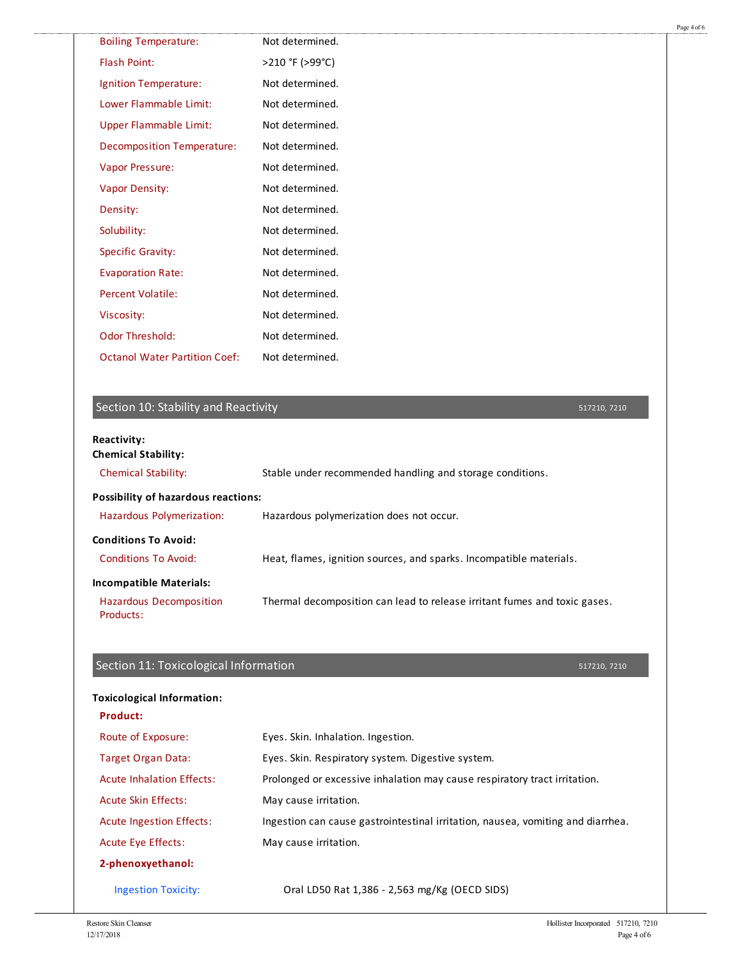| <b>Boiling Temperature:</b>                              | Not determined.                                           |              |  |
|----------------------------------------------------------|-----------------------------------------------------------|--------------|--|
| <b>Flash Point:</b>                                      | >210 °F (>99°C)                                           |              |  |
| Ignition Temperature:                                    | Not determined.                                           |              |  |
| Lower Flammable Limit:                                   | Not determined.                                           |              |  |
| <b>Upper Flammable Limit:</b>                            | Not determined.                                           |              |  |
| <b>Decomposition Temperature:</b>                        | Not determined.                                           |              |  |
| Vapor Pressure:                                          | Not determined.                                           |              |  |
| <b>Vapor Density:</b>                                    | Not determined.                                           |              |  |
| Density:                                                 | Not determined.                                           |              |  |
| Solubility:                                              | Not determined.                                           |              |  |
| <b>Specific Gravity:</b>                                 | Not determined.                                           |              |  |
| <b>Evaporation Rate:</b>                                 | Not determined.                                           |              |  |
| <b>Percent Volatile:</b>                                 | Not determined.                                           |              |  |
| Viscosity:                                               | Not determined.                                           |              |  |
| <b>Odor Threshold:</b>                                   | Not determined.                                           |              |  |
| <b>Octanol Water Partition Coef:</b>                     | Not determined.                                           |              |  |
|                                                          |                                                           |              |  |
| Section 10: Stability and Reactivity                     |                                                           | 517210, 7210 |  |
| <b>Reactivity:</b>                                       |                                                           |              |  |
| <b>Chemical Stability:</b><br><b>Chemical Stability:</b> |                                                           |              |  |
|                                                          | Stable under recommended handling and storage conditions. |              |  |
| Possibility of hazardous reactions:                      |                                                           |              |  |
| Hazardous Polymerization:                                | Hazardous polymerization does not occur.                  |              |  |

#### **Conditions To Avoid:**

.......................

Conditions To Avoid: Heat, flames, ignition sources, and sparks. Incompatible materials.

**Incompatible Materials:**

Hazardous Decomposition Products: Thermal decomposition can lead to release irritant fumes and toxic gases.

|  |  | Section 11: Toxicological Information |
|--|--|---------------------------------------|
|  |  |                                       |

#### **Toxicological Information:**

| Product:                         |                                                                                 |
|----------------------------------|---------------------------------------------------------------------------------|
| Route of Exposure:               | Eyes. Skin. Inhalation. Ingestion.                                              |
| <b>Target Organ Data:</b>        | Eyes. Skin. Respiratory system. Digestive system.                               |
| <b>Acute Inhalation Effects:</b> | Prolonged or excessive inhalation may cause respiratory tract irritation.       |
| <b>Acute Skin Effects:</b>       | May cause irritation.                                                           |
| <b>Acute Ingestion Effects:</b>  | Ingestion can cause gastrointestinal irritation, nausea, vomiting and diarrhea. |
| Acute Eye Effects:               | May cause irritation.                                                           |
| 2-phenoxyethanol:                |                                                                                 |
| <b>Ingestion Toxicity:</b>       | Oral LD50 Rat 1,386 - 2,563 mg/Kg (OECD SIDS)                                   |

517210, 7210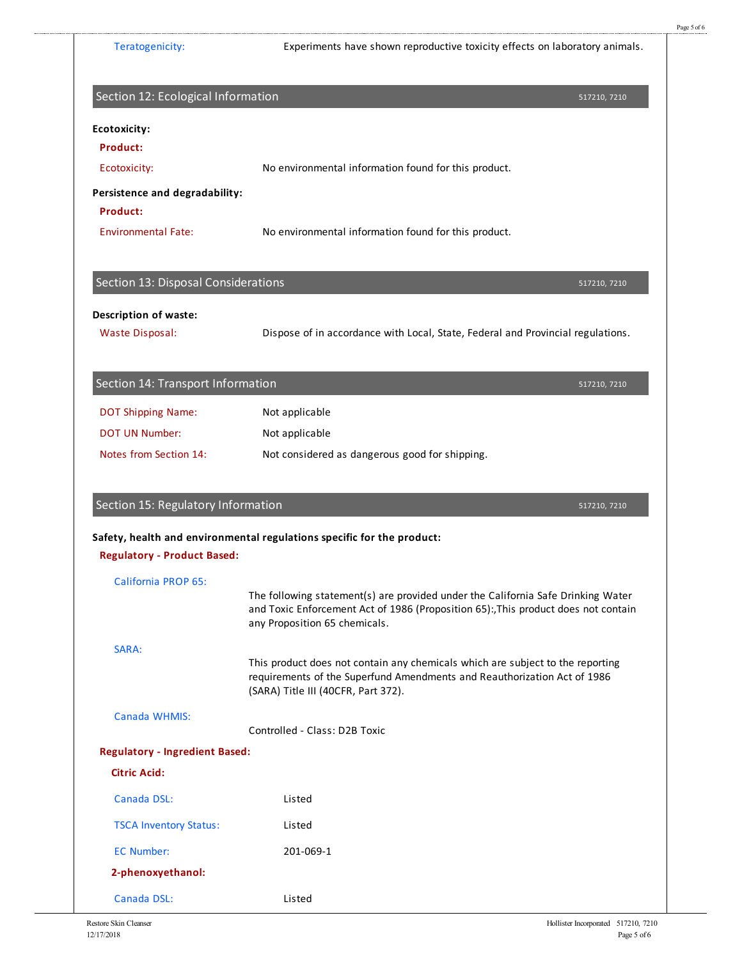| Section 12: Ecological Information         | 517210, 7210                                                                                                                                                                                            |
|--------------------------------------------|---------------------------------------------------------------------------------------------------------------------------------------------------------------------------------------------------------|
| Ecotoxicity:                               |                                                                                                                                                                                                         |
| Product:                                   |                                                                                                                                                                                                         |
| Ecotoxicity:                               | No environmental information found for this product.                                                                                                                                                    |
| Persistence and degradability:<br>Product: |                                                                                                                                                                                                         |
| <b>Environmental Fate:</b>                 | No environmental information found for this product.                                                                                                                                                    |
| Section 13: Disposal Considerations        | 517210, 7210                                                                                                                                                                                            |
| <b>Description of waste:</b>               |                                                                                                                                                                                                         |
| <b>Waste Disposal:</b>                     | Dispose of in accordance with Local, State, Federal and Provincial regulations.                                                                                                                         |
|                                            |                                                                                                                                                                                                         |
| Section 14: Transport Information          | 517210, 7210                                                                                                                                                                                            |
| <b>DOT Shipping Name:</b>                  | Not applicable                                                                                                                                                                                          |
| <b>DOT UN Number:</b>                      | Not applicable                                                                                                                                                                                          |
| Notes from Section 14:                     | Not considered as dangerous good for shipping.                                                                                                                                                          |
|                                            |                                                                                                                                                                                                         |
| Section 15: Regulatory Information         |                                                                                                                                                                                                         |
|                                            | 517210, 7210<br>Safety, health and environmental regulations specific for the product:                                                                                                                  |
| <b>Regulatory - Product Based:</b>         |                                                                                                                                                                                                         |
| <b>California PROP 65:</b>                 |                                                                                                                                                                                                         |
|                                            | The following statement(s) are provided under the California Safe Drinking Water<br>and Toxic Enforcement Act of 1986 (Proposition 65):, This product does not contain<br>any Proposition 65 chemicals. |
| SARA:                                      |                                                                                                                                                                                                         |
|                                            | This product does not contain any chemicals which are subject to the reporting<br>requirements of the Superfund Amendments and Reauthorization Act of 1986<br>(SARA) Title III (40CFR, Part 372).       |
| Canada WHMIS:                              | Controlled - Class: D2B Toxic                                                                                                                                                                           |
| <b>Regulatory - Ingredient Based:</b>      |                                                                                                                                                                                                         |
| <b>Citric Acid:</b>                        |                                                                                                                                                                                                         |
| Canada DSL:                                | Listed                                                                                                                                                                                                  |
| <b>TSCA Inventory Status:</b>              | Listed                                                                                                                                                                                                  |
| <b>EC Number:</b>                          | 201-069-1                                                                                                                                                                                               |
| 2-phenoxyethanol:                          |                                                                                                                                                                                                         |

Page 5 of 6